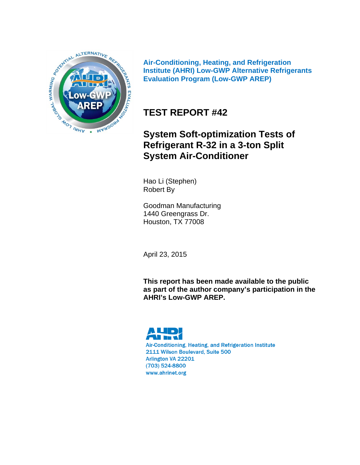

**Air-Conditioning, Heating, and Refrigeration Institute (AHRI) Low-GWP Alternative Refrigerants Evaluation Program (Low-GWP AREP)** 

# **TEST REPORT #42**

# **System Soft-optimization Tests of Refrigerant R-32 in a 3-ton Split System Air-Conditioner**

Hao Li (Stephen) Robert By

Goodman Manufacturing 1440 Greengrass Dr. Houston, TX 77008

April 23, 2015

**This report has been made available to the public as part of the author company's participation in the AHRI's Low-GWP AREP.** 

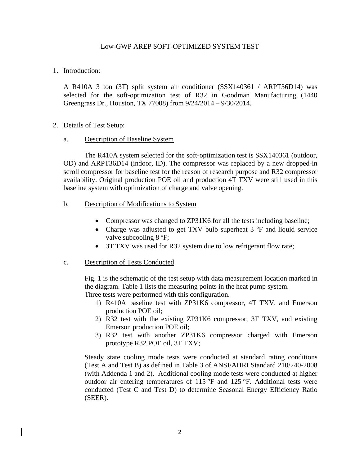#### Low-GWP AREP SOFT-OPTIMIZED SYSTEM TEST

1. Introduction:

A R410A 3 ton (3T) split system air conditioner (SSX140361 / ARPT36D14) was selected for the soft-optimization test of R32 in Goodman Manufacturing (1440 Greengrass Dr., Houston, TX 77008) from 9/24/2014 – 9/30/2014.

2. Details of Test Setup:

#### a. Description of Baseline System

The R410A system selected for the soft-optimization test is SSX140361 (outdoor, OD) and ARPT36D14 (indoor, ID). The compressor was replaced by a new dropped-in scroll compressor for baseline test for the reason of research purpose and R32 compressor availability. Original production POE oil and production 4T TXV were still used in this baseline system with optimization of charge and valve opening.

#### b. Description of Modifications to System

- Compressor was changed to ZP31K6 for all the tests including baseline;
- Charge was adjusted to get TXV bulb superheat 3 °F and liquid service valve subcooling 8 °F;
- 3T TXV was used for R32 system due to low refrigerant flow rate;

#### c. Description of Tests Conducted

Fig. 1 is the schematic of the test setup with data measurement location marked in the diagram. Table 1 lists the measuring points in the heat pump system. Three tests were performed with this configuration.

- 1) R410A baseline test with ZP31K6 compressor, 4T TXV, and Emerson production POE oil;
- 2) R32 test with the existing ZP31K6 compressor, 3T TXV, and existing Emerson production POE oil;
- 3) R32 test with another ZP31K6 compressor charged with Emerson prototype R32 POE oil, 3T TXV;

Steady state cooling mode tests were conducted at standard rating conditions (Test A and Test B) as defined in Table 3 of ANSI/AHRI Standard 210/240-2008 (with Addenda 1 and 2). Additional cooling mode tests were conducted at higher outdoor air entering temperatures of 115 °F and 125 °F. Additional tests were conducted (Test C and Test D) to determine Seasonal Energy Efficiency Ratio (SEER).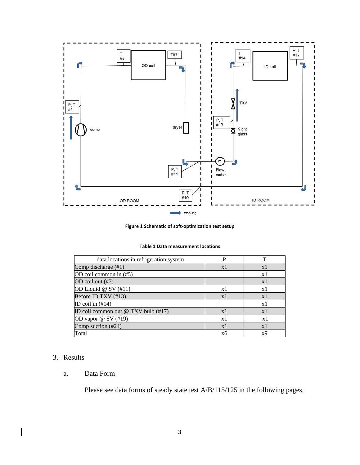

**Figure 1 Schematic of soft‐optimization test setup**

| data locations in refrigeration system | D              |    |
|----------------------------------------|----------------|----|
| Comp discharge (#1)                    | x l            | x1 |
| OD coil common in (#5)                 |                | x1 |
| OD coil out (#7)                       |                | x1 |
| OD Liquid $@$ SV $(\#11)$              | x1             | x1 |
| Before ID TXV (#13)                    | x1             | x1 |
| ID coil in $(\#14)$                    |                | x1 |
| ID coil common out @ TXV bulb (#17)    | x1             | x1 |
| OD vapor $@$ SV $(\#19)$               | x1             | x1 |
| Comp suction (#24)                     | $\mathbf{x}$ 1 | x1 |
| Total                                  | xб             | x9 |

#### 3. Results

#### a. Data Form

Please see data forms of steady state test A/B/115/125 in the following pages.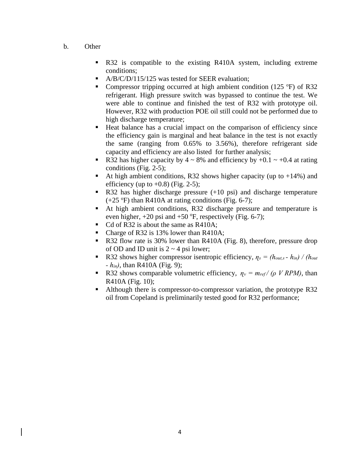- b. Other
	- R32 is compatible to the existing R410A system, including extreme conditions;
	- A/B/C/D/115/125 was tested for SEER evaluation;
	- Compressor tripping occurred at high ambient condition (125 °F) of R32 refrigerant. High pressure switch was bypassed to continue the test. We were able to continue and finished the test of R32 with prototype oil. However, R32 with production POE oil still could not be performed due to high discharge temperature;
	- Heat balance has a crucial impact on the comparison of efficiency since the efficiency gain is marginal and heat balance in the test is not exactly the same (ranging from 0.65% to 3.56%), therefore refrigerant side capacity and efficiency are also listed for further analysis;
	- R32 has higher capacity by  $4 \sim 8\%$  and efficiency by  $+0.1 \sim +0.4$  at rating conditions (Fig. 2-5);
	- At high ambient conditions, R32 shows higher capacity (up to  $+14\%$ ) and efficiency (up to  $+0.8$ ) (Fig. 2-5);
	- R32 has higher discharge pressure (+10 psi) and discharge temperature  $(+25 \text{ °F})$  than R410A at rating conditions (Fig. 6-7);
	- At high ambient conditions, R32 discharge pressure and temperature is even higher,  $+20$  psi and  $+50$  °F, respectively (Fig. 6-7);
	- Cd of R32 is about the same as R410A;
	- Charge of R32 is 13% lower than R410A;
	- R32 flow rate is 30% lower than R410A (Fig. 8), therefore, pressure drop of OD and ID unit is  $2 \sim 4$  psi lower;
	- R32 shows higher compressor isentropic efficiency,  $\eta_s = (h_{out,s} h_{in}) / (h_{out}$ *- hin)*, than R410A (Fig. 9);
	- R32 shows comparable volumetric efficiency,  $\eta_v = m_{ref} / (\rho V RPM)$ , than R410A (Fig. 10);
	- Although there is compressor-to-compressor variation, the prototype R32 oil from Copeland is preliminarily tested good for R32 performance;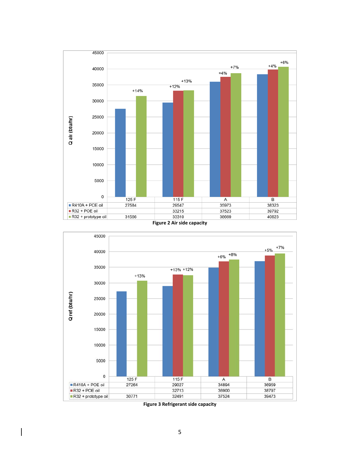





**Figure 3 Refrigerant side capacity**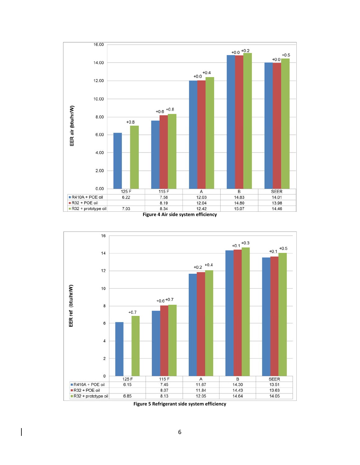





**Figure 5 Refrigerant side system efficiency**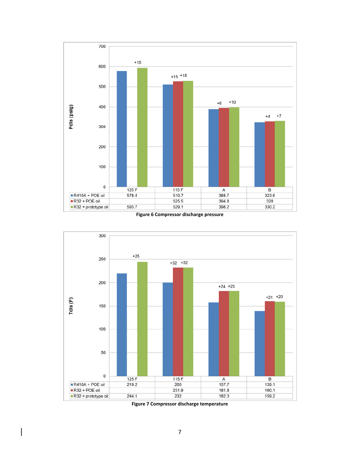

**Figure 6 Compressor discharge pressure**



**Figure 7 Compressor discharge temperature**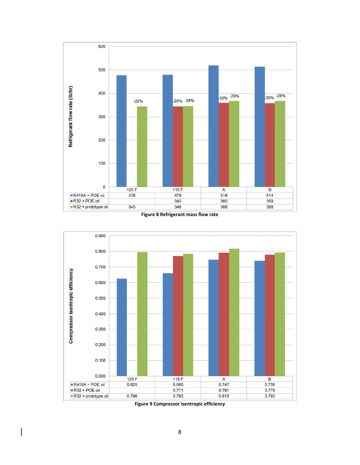

**Figure 8 Refrigerant mass flow rate**



**Figure 9 Compressor isentropic efficiency**

 $\overline{\phantom{a}}$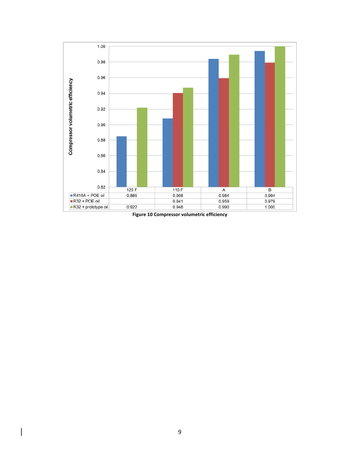

**Figure 10 Compressor volumetric efficiency**

 $\overline{\phantom{a}}$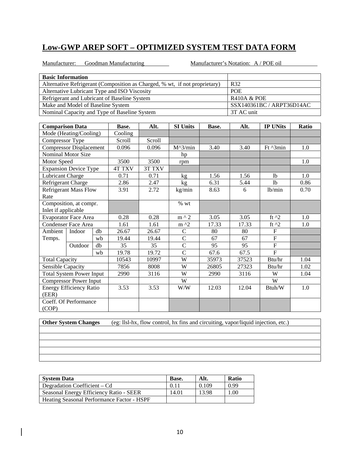Manufacturer: Goodman Manufacturing Manufacturer's Notation: A / POE oil

| <b>Basic Information</b>                                                   |  |                        |                           |  |  |  |  |  |
|----------------------------------------------------------------------------|--|------------------------|---------------------------|--|--|--|--|--|
| Alternative Refrigerant (Composition as Charged, % wt, if not proprietary) |  | R <sub>32</sub>        |                           |  |  |  |  |  |
| Alternative Lubricant Type and ISO Viscosity                               |  | <b>POE</b>             |                           |  |  |  |  |  |
| Refrigerant and Lubricant of Baseline System                               |  | <b>R410A &amp; POE</b> |                           |  |  |  |  |  |
| Make and Model of Baseline System                                          |  |                        | SSX140361BC / ARPT36D14AC |  |  |  |  |  |
| Nominal Capacity and Type of Baseline System<br>3T AC unit                 |  |                        |                           |  |  |  |  |  |
|                                                                            |  |                        |                           |  |  |  |  |  |
| $\sim$<br>$\cdots$                                                         |  |                        | $\cdot$ $\cdot$           |  |  |  |  |  |

| <b>Comparison Data</b> |                                 |    | Base.         | Alt.   | <b>SI Units</b> | Base. | Alt.  | <b>IP UNits</b> | Ratio |
|------------------------|---------------------------------|----|---------------|--------|-----------------|-------|-------|-----------------|-------|
|                        | Mode (Heating/Cooling)          |    | Cooling       |        |                 |       |       |                 |       |
| Compressor Type        |                                 |    | Scroll        | Scroll |                 |       |       |                 |       |
|                        | <b>Compressor Displacement</b>  |    | 0.096         | 0.096  | $M^3/min$       | 3.40  | 3.40  | Ft ^3min        | 1.0   |
|                        | Nominal Motor Size              |    |               |        | hp              |       |       |                 |       |
| Motor Speed            |                                 |    | 3500          | 3500   | rpm             |       |       |                 | 1.0   |
|                        | <b>Expansion Device Type</b>    |    | <b>4T TXV</b> | 3T TXV |                 |       |       |                 |       |
| Lubricant Charge       |                                 |    | 0.71          | 0.71   | kg              | 1.56  | 1.56  | 1 <sub>b</sub>  | 1.0   |
| Refrigerant Charge     |                                 |    | 2.86          | 2.47   | kg              | 6.31  | 5.44  | 1 <sub>b</sub>  | 0.86  |
|                        | <b>Refrigerant Mass Flow</b>    |    | 3.91          | 2.72   | kg/min          | 8.63  | 6     | lb/min          | 0.70  |
| Rate                   |                                 |    |               |        |                 |       |       |                 |       |
|                        | Composition, at compr.          |    |               |        | $\%$ wt         |       |       |                 |       |
| Inlet if applicable    |                                 |    |               |        |                 |       |       |                 |       |
|                        | <b>Evaporator Face Area</b>     |    | 0.28          | 0.28   | $m \wedge 2$    | 3.05  | 3.05  | ft $^{12}$      | 1.0   |
|                        | <b>Condenser Face Area</b>      |    | 1.61          | 1.61   | $m \lambda$     | 17.33 | 17.33 | ft $^2$         | 1.0   |
| Ambient                | Indoor                          | db | 26.67         | 26.67  | $\mathcal{C}$   | 80    | 80    | $\overline{F}$  |       |
| Temps.                 |                                 | wb | 19.44         | 19.44  | $\overline{C}$  | 67    | 67    | $\overline{F}$  |       |
|                        | Outdoor                         | db | 35            | 35     | $\overline{C}$  | 95    | 95    | $\overline{F}$  |       |
|                        |                                 | wb | 19.78         | 19.72  | $\overline{C}$  | 67.6  | 67.5  | $\mathbf{F}$    |       |
| <b>Total Capacity</b>  |                                 |    | 10543         | 10997  | W               | 35973 | 37523 | Btu/hr          | 1.04  |
| Sensible Capacity      |                                 |    | 7856          | 8008   | W               | 26805 | 27323 | Btu/hr          | 1.02  |
|                        | <b>Total System Power Input</b> |    | 2990          | 3116   | W               | 2990  | 3116  | W               | 1.04  |
|                        | <b>Compressor Power Input</b>   |    |               |        | W               |       |       | W               |       |
|                        | <b>Energy Efficiency Ratio</b>  |    | 3.53          | 3.53   | W/W             | 12.03 | 12.04 | Btuh/W          | 1.0   |
| (EER)                  |                                 |    |               |        |                 |       |       |                 |       |
|                        | Coeff. Of Performance           |    |               |        |                 |       |       |                 |       |
| (COP)                  |                                 |    |               |        |                 |       |       |                 |       |

| <b>System Data</b>                         | Base. | Alt.  | <b>Ratio</b> |
|--------------------------------------------|-------|-------|--------------|
| Degradation Coefficient – Cd               | 0.11  | 0.109 | 0.99         |
| Seasonal Energy Efficiency Ratio - SEER    | 14.01 | 13.98 | 0.00         |
| Heating Seasonal Performance Factor - HSPF |       |       |              |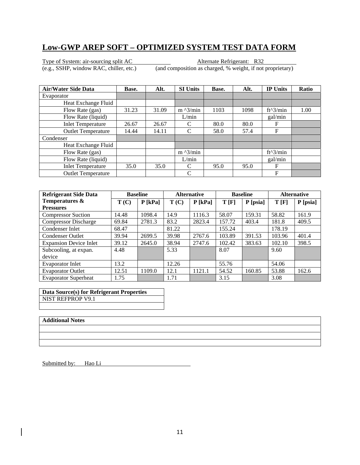Type of System: air-sourcing split AC Alternate Refrigerant: R32

(e.g., SSHP, window RAC, chiller, etc.) (and composition as charged, % weight, if not proprietary)

| <b>Air/Water Side Data</b> | Base. | Alt.  | <b>SI Units</b>   | Base. | Alt. | <b>IP Units</b> | <b>Ratio</b> |
|----------------------------|-------|-------|-------------------|-------|------|-----------------|--------------|
| Evaporator                 |       |       |                   |       |      |                 |              |
| Heat Exchange Fluid        |       |       |                   |       |      |                 |              |
| Flow Rate (gas)            | 31.23 | 31.09 | $m \lambda$ 3/min | 1103  | 1098 | $ft^3/min$      | 1.00         |
| Flow Rate (liquid)         |       |       | L/min             |       |      | gal/min         |              |
| <b>Inlet Temperature</b>   | 26.67 | 26.67 | C                 | 80.0  | 80.0 | F               |              |
| <b>Outlet Temperature</b>  | 14.44 | 14.11 | C                 | 58.0  | 57.4 | F               |              |
| Condenser                  |       |       |                   |       |      |                 |              |
| Heat Exchange Fluid        |       |       |                   |       |      |                 |              |
| Flow Rate (gas)            |       |       | $m \lambda$ 3/min |       |      | ft^3/min        |              |
| Flow Rate (liquid)         |       |       | L/min             |       |      | gal/min         |              |
| <b>Inlet Temperature</b>   | 35.0  | 35.0  | C                 | 95.0  | 95.0 | F               |              |
| <b>Outlet Temperature</b>  |       |       | C                 |       |      | F               |              |

| <b>Refrigerant Side Data</b>  |       | <b>Baseline</b> |       | <b>Alternative</b> |        | <b>Baseline</b> |        | <b>Alternative</b> |
|-------------------------------|-------|-----------------|-------|--------------------|--------|-----------------|--------|--------------------|
| Temperatures &                | T(C)  | $P$ [kPa]       | T(C)  | $P$ [kPa]          | T[F]   | P [psia]        | T[F]   | $P$ [psia]         |
| <b>Pressures</b>              |       |                 |       |                    |        |                 |        |                    |
| <b>Compressor Suction</b>     | 14.48 | 1098.4          | 14.9  | 1116.3             | 58.07  | 159.31          | 58.82  | 161.9              |
| <b>Compressor Discharge</b>   | 69.84 | 2781.3          | 83.2  | 2823.4             | 157.72 | 403.4           | 181.8  | 409.5              |
| Condenser Inlet               | 68.47 |                 | 81.22 |                    | 155.24 |                 | 178.19 |                    |
| <b>Condenser Outlet</b>       | 39.94 | 2699.5          | 39.98 | 2767.6             | 103.89 | 391.53          | 103.96 | 401.4              |
| <b>Expansion Device Inlet</b> | 39.12 | 2645.0          | 38.94 | 2747.6             | 102.42 | 383.63          | 102.10 | 398.5              |
| Subcooling, at expan.         | 4.48  |                 | 5.33  |                    | 8.07   |                 | 9.60   |                    |
| device                        |       |                 |       |                    |        |                 |        |                    |
| Evaporator Inlet              | 13.2  |                 | 12.26 |                    | 55.76  |                 | 54.06  |                    |
| <b>Evaporator Outlet</b>      | 12.51 | 1109.0          | 12.1  | 1121.1             | 54.52  | 160.85          | 53.88  | 162.6              |
| <b>Evaporator Superheat</b>   | 1.75  |                 | 1.71  |                    | 3.15   |                 | 3.08   |                    |

**Data Source(s) for Refrigerant Properties**  NIST REFPROP V9.1

#### **Additional Notes**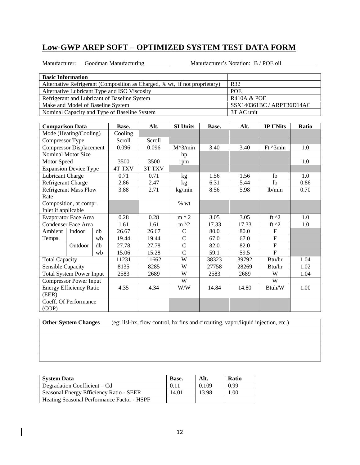Manufacturer: Goodman Manufacturing Manufacturer's Notation: B / POE oil

| <b>Basic Information</b>                                                   |              |          |                 |       |            |                           |              |  |
|----------------------------------------------------------------------------|--------------|----------|-----------------|-------|------------|---------------------------|--------------|--|
| Alternative Refrigerant (Composition as Charged, % wt, if not proprietary) |              |          |                 |       | R32        |                           |              |  |
| Alternative Lubricant Type and ISO Viscosity                               |              |          |                 |       | <b>POE</b> |                           |              |  |
| Refrigerant and Lubricant of Baseline System                               |              |          |                 |       |            | <b>R410A &amp; POE</b>    |              |  |
| Make and Model of Baseline System                                          |              |          |                 |       |            | SSX140361BC / ARPT36D14AC |              |  |
| Nominal Capacity and Type of Baseline System                               |              |          |                 |       | 3T AC unit |                           |              |  |
|                                                                            |              |          |                 |       |            |                           |              |  |
| <b>Comparison Data</b>                                                     | Base.        | Alt.     | <b>SI Units</b> | Base. | Alt.       | <b>IP UNits</b>           | <b>Ratio</b> |  |
| Mode (Heating/Cooling)                                                     | Cooling      |          |                 |       |            |                           |              |  |
| Compressor Type                                                            | Scroll       | Scroll   |                 |       |            |                           |              |  |
| <b>Compressor Displacement</b>                                             | 0.096        | 0.096    | $M^3/min$       | 3.40  | 3.40       | $Ft^{\prime}$ 3min        | 1.0          |  |
| Nominal Motor Size                                                         |              |          | hp              |       |            |                           |              |  |
| Motor Speed                                                                | 3500         | 3500     | rpm             |       |            |                           | 1.0          |  |
| <b>Demanded Nacional Tenso</b>                                             | $AT$ TV $VI$ | 2T T T T |                 |       |            |                           |              |  |

| www.prca                 |                                 |    | ouu           | JJUU.  | 1 pm          |       |       |                | $\mathbf{1} \cdot \mathbf{U}$ |
|--------------------------|---------------------------------|----|---------------|--------|---------------|-------|-------|----------------|-------------------------------|
|                          | <b>Expansion Device Type</b>    |    | <b>4T TXV</b> | 3T TXV |               |       |       |                |                               |
| <b>Lubricant Charge</b>  |                                 |    | 0.71          | 0.71   | kg            | 1.56  | 1.56  | <sup>1</sup> b | 1.0                           |
| Refrigerant Charge       |                                 |    | 2.86          | 2.47   | kg            | 6.31  | 5.44  | 1b             | 0.86                          |
|                          | <b>Refrigerant Mass Flow</b>    |    | 3.88          | 2.71   | kg/min        | 8.56  | 5.98  | lb/min         | 0.70                          |
| Rate                     |                                 |    |               |        |               |       |       |                |                               |
|                          | Composition, at compr.          |    |               |        | $%$ wt        |       |       |                |                               |
| Inlet if applicable      |                                 |    |               |        |               |       |       |                |                               |
|                          | <b>Evaporator Face Area</b>     |    | 0.28          | 0.28   | $m \wedge 2$  | 3.05  | 3.05  | ft $^{12}$     | 1.0                           |
|                          | <b>Condenser Face Area</b>      |    | 1.61          | 1.61   | $m^2$         | 17.33 | 17.33 | ft $^2$        | 1.0                           |
| Ambient                  | Indoor                          | db | 26.67         | 26.67  | $\mathsf{C}$  | 80.0  | 80.0  | $\mathbf{F}$   |                               |
| Temps.                   |                                 | wb | 19.44         | 19.44  | $\mathsf{C}$  | 67.0  | 67.0  | $\mathbf F$    |                               |
|                          | Outdoor                         | db | 27.78         | 27.78  | $\mathcal{C}$ | 82.0  | 82.0  | ${\bf F}$      |                               |
|                          |                                 | wb | 15.06         | 15.28  | $\mathsf{C}$  | 59.1  | 59.5  | $\overline{F}$ |                               |
| <b>Total Capacity</b>    |                                 |    | 11231         | 11662  | W             | 38323 | 39792 | Btu/hr         | 1.04                          |
| <b>Sensible Capacity</b> |                                 |    | 8135          | 8285   | W             | 27758 | 28269 | Btu/hr         | 1.02                          |
|                          | <b>Total System Power Input</b> |    | 2583          | 2689   | W             | 2583  | 2689  | W              | 1.04                          |
|                          | <b>Compressor Power Input</b>   |    |               |        | W             |       |       | W              |                               |
|                          | <b>Energy Efficiency Ratio</b>  |    | 4.35          | 4.34   | W/W           | 14.84 | 14.80 | Btuh/W         | 1.00                          |
| (EER)                    |                                 |    |               |        |               |       |       |                |                               |
| (COP)                    | Coeff. Of Performance           |    |               |        |               |       |       |                |                               |

**Other System Changes** (eg: llsl-hx, flow control, hx fins and circuiting, vapor/liquid injection, etc.)

**System Data Base.** Alt. Ratio Degradation Coefficient – Cd  $\begin{array}{|c|c|c|c|c|c|c|c|c|} \hline 0.11 & 0.109 & 0.99 \hline \end{array}$ Seasonal Energy Efficiency Ratio - SEER 14.01 13.98 1.00 Heating Seasonal Performance Factor - HSPF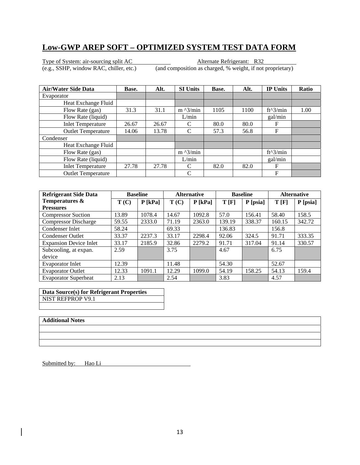Type of System: air-sourcing split AC Alternate Refrigerant: R32

(e.g., SSHP, window RAC, chiller, etc.) (and composition as charged, % weight, if not proprietary)

| <b>Air/Water Side Data</b> | Base. | Alt.  | <b>SI Units</b>   | Base. | Alt. | <b>IP Units</b> | <b>Ratio</b> |
|----------------------------|-------|-------|-------------------|-------|------|-----------------|--------------|
| Evaporator                 |       |       |                   |       |      |                 |              |
| Heat Exchange Fluid        |       |       |                   |       |      |                 |              |
| Flow Rate (gas)            | 31.3  | 31.1  | $m \lambda$ 3/min | 1105  | 1100 | $ft^3/min$      | 1.00         |
| Flow Rate (liquid)         |       |       | L/min             |       |      | gal/min         |              |
| <b>Inlet Temperature</b>   | 26.67 | 26.67 | C                 | 80.0  | 80.0 | F               |              |
| <b>Outlet Temperature</b>  | 14.06 | 13.78 | C                 | 57.3  | 56.8 | F               |              |
| Condenser                  |       |       |                   |       |      |                 |              |
| Heat Exchange Fluid        |       |       |                   |       |      |                 |              |
| Flow Rate (gas)            |       |       | $m \lambda$ 3/min |       |      | $ft^3/min$      |              |
| Flow Rate (liquid)         |       |       | L/min             |       |      | gal/min         |              |
| <b>Inlet Temperature</b>   | 27.78 | 27.78 | C                 | 82.0  | 82.0 | F               |              |
| <b>Outlet Temperature</b>  |       |       | C                 |       |      | F               |              |

| <b>Refrigerant Side Data</b>  |       | <b>Baseline</b> |       | <b>Alternative</b> |        | <b>Baseline</b> |        | <b>Alternative</b> |
|-------------------------------|-------|-----------------|-------|--------------------|--------|-----------------|--------|--------------------|
| Temperatures &                | T(C)  | $P$ [kPa]       | T(C)  | $P$ [kPa]          | T[F]   | P [psia]        | T[F]   | $P$ [psia]         |
| <b>Pressures</b>              |       |                 |       |                    |        |                 |        |                    |
| <b>Compressor Suction</b>     | 13.89 | 1078.4          | 14.67 | 1092.8             | 57.0   | 156.41          | 58.40  | 158.5              |
| <b>Compressor Discharge</b>   | 59.55 | 2333.0          | 71.19 | 2363.0             | 139.19 | 338.37          | 160.15 | 342.72             |
| Condenser Inlet               | 58.24 |                 | 69.33 |                    | 136.83 |                 | 156.8  |                    |
| <b>Condenser Outlet</b>       | 33.37 | 2237.3          | 33.17 | 2298.4             | 92.06  | 324.5           | 91.71  | 333.35             |
| <b>Expansion Device Inlet</b> | 33.17 | 2185.9          | 32.86 | 2279.2             | 91.71  | 317.04          | 91.14  | 330.57             |
| Subcooling, at expan.         | 2.59  |                 | 3.75  |                    | 4.67   |                 | 6.75   |                    |
| device                        |       |                 |       |                    |        |                 |        |                    |
| Evaporator Inlet              | 12.39 |                 | 11.48 |                    | 54.30  |                 | 52.67  |                    |
| <b>Evaporator Outlet</b>      | 12.33 | 1091.1          | 12.29 | 1099.0             | 54.19  | 158.25          | 54.13  | 159.4              |
| <b>Evaporator Superheat</b>   | 2.13  |                 | 2.54  |                    | 3.83   |                 | 4.57   |                    |

**Data Source(s) for Refrigerant Properties**  NIST REFPROP V9.1

#### **Additional Notes**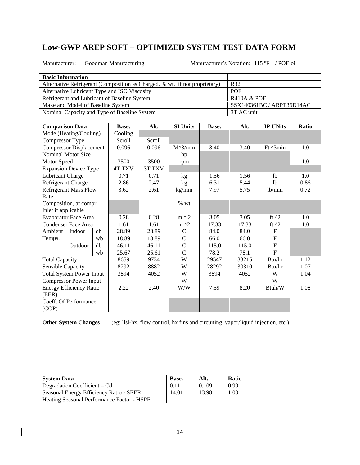Manufacturer: Goodman Manufacturing

Manufacturer's Notation: 115 °F / POE oil

| <b>Basic Information</b>                                                   |                           |
|----------------------------------------------------------------------------|---------------------------|
| Alternative Refrigerant (Composition as Charged, % wt, if not proprietary) | R32                       |
| Alternative Lubricant Type and ISO Viscosity                               | <b>POE</b>                |
| Refrigerant and Lubricant of Baseline System                               | <b>R410A &amp; POE</b>    |
| Make and Model of Baseline System                                          | SSX140361BC / ARPT36D14AC |
| Nominal Capacity and Type of Baseline System                               | 3T AC unit                |

| <b>Comparison Data</b>         |                                 |       | Base.   | Alt.              | <b>SI Units</b> | Base. | Alt.     | <b>IP UNits</b> | Ratio |
|--------------------------------|---------------------------------|-------|---------|-------------------|-----------------|-------|----------|-----------------|-------|
| Mode (Heating/Cooling)         |                                 |       | Cooling |                   |                 |       |          |                 |       |
| Compressor Type                |                                 |       | Scroll  | Scroll            |                 |       |          |                 |       |
| <b>Compressor Displacement</b> |                                 | 0.096 | 0.096   | $M^{\wedge}3/min$ | 3.40            | 3.40  | Ft ^3min | 1.0             |       |
|                                | Nominal Motor Size              |       |         |                   | hp              |       |          |                 |       |
| Motor Speed                    |                                 |       | 3500    | 3500              | rpm             |       |          |                 | 1.0   |
|                                | <b>Expansion Device Type</b>    |       | 4T TXV  | 3T TXV            |                 |       |          |                 |       |
| Lubricant Charge               |                                 |       | 0.71    | 0.71              | kg              | 1.56  | 1.56     | <sup>1</sup> b  | 1.0   |
| Refrigerant Charge             |                                 |       | 2.86    | 2.47              | kg              | 6.31  | 5.44     | <sup>1</sup> b  | 0.86  |
|                                | <b>Refrigerant Mass Flow</b>    |       | 3.62    | 2.61              | kg/min          | 7.97  | 5.75     | lb/min          | 0.72  |
| Rate                           |                                 |       |         |                   |                 |       |          |                 |       |
|                                | Composition, at compr.          |       |         |                   | % wt            |       |          |                 |       |
| Inlet if applicable            |                                 |       |         |                   |                 |       |          |                 |       |
|                                | <b>Evaporator Face Area</b>     |       | 0.28    | 0.28              | $m \wedge 2$    | 3.05  | 3.05     | ft $^2$         | 1.0   |
|                                | <b>Condenser Face Area</b>      |       | 1.61    | 1.61              | $m \lambda$     | 17.33 | 17.33    | ft $^{12}$      | 1.0   |
| Ambient                        | Indoor                          | db    | 28.89   | 28.89             | $\mathsf{C}$    | 84.0  | 84.0     | $F_{\rm}$       |       |
| Temps.                         |                                 | wb    | 18.89   | 18.89             | $\mathcal{C}$   | 66.0  | 66.0     | $\mathbf F$     |       |
|                                | Outdoor                         | db    | 46.11   | 46.11             | $\mathbf C$     | 115.0 | 115.0    | $\overline{F}$  |       |
|                                |                                 | wb    | 25.67   | 25.61             | $\overline{C}$  | 78.2  | 78.1     | $\mathbf F$     |       |
| <b>Total Capacity</b>          |                                 |       | 8659    | 9734              | W               | 29547 | 33215    | Btu/hr          | 1.12  |
| Sensible Capacity              |                                 |       | 8292    | 8882              | W               | 28292 | 30310    | Btu/hr          | 1.07  |
|                                | <b>Total System Power Input</b> |       | 3894    | 4052              | W               | 3894  | 4052     | W               | 1.04  |
|                                | <b>Compressor Power Input</b>   |       |         |                   | W               |       |          | W               |       |
|                                | <b>Energy Efficiency Ratio</b>  |       | 2.22    | 2.40              | W/W             | 7.59  | 8.20     | Btuh/W          | 1.08  |
| (EER)                          |                                 |       |         |                   |                 |       |          |                 |       |
|                                | Coeff. Of Performance           |       |         |                   |                 |       |          |                 |       |
| (COP)                          |                                 |       |         |                   |                 |       |          |                 |       |

**Other System Changes** (eg: llsl-hx, flow control, hx fins and circuiting, vapor/liquid injection, etc.)

System Data **Base.** Alt. Ratio

| System Data                                       | Base. | Alt.  | <b>Katio</b> |
|---------------------------------------------------|-------|-------|--------------|
| Degradation Coefficient – Cd                      | 0.11  | 0.109 | 0.99         |
| Seasonal Energy Efficiency Ratio - SEER           | 14.01 | 13.98 | .00          |
| <b>Heating Seasonal Performance Factor - HSPF</b> |       |       |              |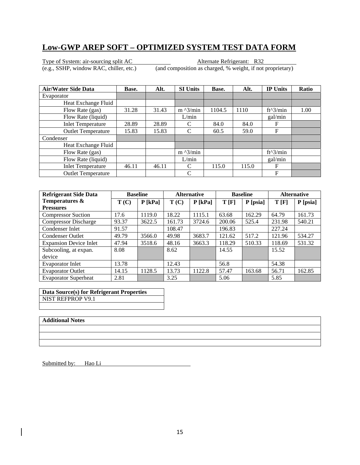Type of System: air-sourcing split AC Alternate Refrigerant: R32

(e.g., SSHP, window RAC, chiller, etc.) (and composition as charged, % weight, if not proprietary)

| <b>Air/Water Side Data</b> | Base. | Alt.  | <b>SI Units</b>   | Base.  | Alt.  | <b>IP Units</b> | <b>Ratio</b> |
|----------------------------|-------|-------|-------------------|--------|-------|-----------------|--------------|
| Evaporator                 |       |       |                   |        |       |                 |              |
| Heat Exchange Fluid        |       |       |                   |        |       |                 |              |
| Flow Rate (gas)            | 31.28 | 31.43 | $m \lambda$ 3/min | 1104.5 | 1110  | $ft^3/min$      | 1.00         |
| Flow Rate (liquid)         |       |       | L/min             |        |       | gal/min         |              |
| <b>Inlet Temperature</b>   | 28.89 | 28.89 | C                 | 84.0   | 84.0  | F               |              |
| <b>Outlet Temperature</b>  | 15.83 | 15.83 | C                 | 60.5   | 59.0  | F               |              |
| Condenser                  |       |       |                   |        |       |                 |              |
| Heat Exchange Fluid        |       |       |                   |        |       |                 |              |
| Flow Rate (gas)            |       |       | $m \lambda$ 3/min |        |       | ft^3/min        |              |
| Flow Rate (liquid)         |       |       | L/min             |        |       | gal/min         |              |
| <b>Inlet Temperature</b>   | 46.11 | 46.11 | C                 | 115.0  | 115.0 | F               |              |
| <b>Outlet Temperature</b>  |       |       | C                 |        |       | F               |              |

| <b>Refrigerant Side Data</b>  |       | <b>Baseline</b> |        | <b>Alternative</b> |        | <b>Baseline</b> | <b>Alternative</b> |            |
|-------------------------------|-------|-----------------|--------|--------------------|--------|-----------------|--------------------|------------|
| Temperatures &                | T(C)  | $P$ [kPa]       | T(C)   | $P$ [kPa]          | T[F]   | P [psia]        | T[F]               | $P$ [psia] |
| <b>Pressures</b>              |       |                 |        |                    |        |                 |                    |            |
| <b>Compressor Suction</b>     | 17.6  | 1119.0          | 18.22  | 1115.1             | 63.68  | 162.29          | 64.79              | 161.73     |
| <b>Compressor Discharge</b>   | 93.37 | 3622.5          | 161.73 | 3724.6             | 200.06 | 525.4           | 231.98             | 540.21     |
| Condenser Inlet               | 91.57 |                 | 108.47 |                    | 196.83 |                 | 227.24             |            |
| <b>Condenser Outlet</b>       | 49.79 | 3566.0          | 49.98  | 3683.7             | 121.62 | 517.2           | 121.96             | 534.27     |
| <b>Expansion Device Inlet</b> | 47.94 | 3518.6          | 48.16  | 3663.3             | 118.29 | 510.33          | 118.69             | 531.32     |
| Subcooling, at expan.         | 8.08  |                 | 8.62   |                    | 14.55  |                 | 15.52              |            |
| device                        |       |                 |        |                    |        |                 |                    |            |
| Evaporator Inlet              | 13.78 |                 | 12.43  |                    | 56.8   |                 | 54.38              |            |
| <b>Evaporator Outlet</b>      | 14.15 | 1128.5          | 13.73  | 1122.8             | 57.47  | 163.68          | 56.71              | 162.85     |
| <b>Evaporator Superheat</b>   | 2.81  |                 | 3.25   |                    | 5.06   |                 | 5.85               |            |

**Data Source(s) for Refrigerant Properties**  NIST REFPROP V9.1

#### **Additional Notes**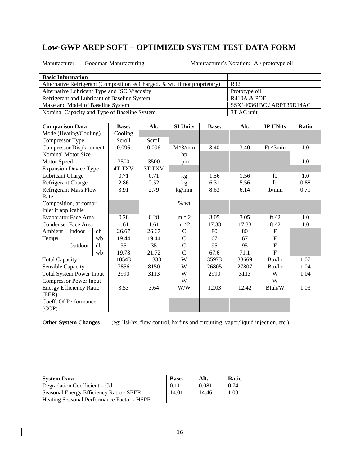Manufacturer: Goodman Manufacturing Manufacturer's Notation: A / prototype oil

| <b>Basic Information</b>                                                                                                          |                                              |    |                                              |                           |                 |                                       |            |                     |       |  |
|-----------------------------------------------------------------------------------------------------------------------------------|----------------------------------------------|----|----------------------------------------------|---------------------------|-----------------|---------------------------------------|------------|---------------------|-------|--|
| Alternative Refrigerant (Composition as Charged, % wt, if not proprietary)<br>R32<br>Alternative Lubricant Type and ISO Viscosity |                                              |    |                                              |                           |                 |                                       |            |                     |       |  |
|                                                                                                                                   |                                              |    | Prototype oil                                |                           |                 |                                       |            |                     |       |  |
|                                                                                                                                   | Refrigerant and Lubricant of Baseline System |    | <b>R410A &amp; POE</b>                       |                           |                 |                                       |            |                     |       |  |
|                                                                                                                                   | Make and Model of Baseline System            |    |                                              | SSX140361BC / ARPT36D14AC |                 |                                       |            |                     |       |  |
|                                                                                                                                   |                                              |    | Nominal Capacity and Type of Baseline System |                           |                 |                                       | 3T AC unit |                     |       |  |
|                                                                                                                                   |                                              |    |                                              |                           |                 |                                       |            |                     |       |  |
| <b>Comparison Data</b>                                                                                                            |                                              |    | Base.                                        | Alt.                      | <b>SI Units</b> | Base.                                 | Alt.       | <b>IP UNits</b>     | Ratio |  |
|                                                                                                                                   | Mode (Heating/Cooling)                       |    | Cooling                                      |                           |                 |                                       |            |                     |       |  |
| Compressor Type                                                                                                                   |                                              |    | Scroll                                       | Scroll                    |                 |                                       |            |                     |       |  |
|                                                                                                                                   | <b>Compressor Displacement</b>               |    | 0.096                                        | 0.096                     | $M^3/min$       | 3.40                                  | 3.40       | Ft ^3min            | 1.0   |  |
|                                                                                                                                   | Nominal Motor Size                           |    |                                              |                           | hp              |                                       |            |                     |       |  |
| Motor Speed                                                                                                                       |                                              |    | 3500                                         | 3500                      | rpm             |                                       |            |                     | 1.0   |  |
|                                                                                                                                   | <b>Expansion Device Type</b>                 |    | <b>4T TXV</b>                                | 3T TXV                    |                 |                                       |            |                     |       |  |
| Lubricant Charge                                                                                                                  |                                              |    | 0.71                                         | 0.71                      | kg              | 1.56<br>1.56<br>1.0<br>1 <sub>b</sub> |            |                     |       |  |
| Refrigerant Charge<br>2.86<br>2.52<br>6.31<br>5.56<br><b>lb</b><br>kg                                                             |                                              |    |                                              |                           |                 |                                       | 0.88       |                     |       |  |
|                                                                                                                                   | Refrigerant Mass Flow                        |    | 3.91                                         | 2.79                      | kg/min          | 8.63                                  | 6.14       | lb/min              | 0.71  |  |
| Rate                                                                                                                              |                                              |    |                                              |                           |                 |                                       |            |                     |       |  |
|                                                                                                                                   | Composition, at compr.                       |    |                                              |                           | $%$ wt          |                                       |            |                     |       |  |
| Inlet if applicable                                                                                                               |                                              |    |                                              |                           |                 |                                       |            |                     |       |  |
|                                                                                                                                   | <b>Evaporator Face Area</b>                  |    | 0.28                                         | 0.28                      | m ^ 2           | 3.05                                  | 3.05       | ft $^2$             | 1.0   |  |
|                                                                                                                                   | <b>Condenser Face Area</b>                   |    | 1.61                                         | 1.61                      | m ^2            | 17.33                                 | 17.33      | $\overline{f}$ t ^2 | 1.0   |  |
| Ambient                                                                                                                           | Indoor                                       | db | 26.67                                        | 26.67                     | $\mathbf C$     | 80                                    | 80         | F                   |       |  |
| Temps.                                                                                                                            |                                              | wb | 19.44                                        | 19.44                     | $\overline{C}$  | 67                                    | 67         | $\overline{F}$      |       |  |
|                                                                                                                                   | Outdoor                                      | db | 35                                           | 35                        | $\overline{C}$  | 95                                    | 95         | $\mathbf F$         |       |  |
|                                                                                                                                   |                                              | wb | 19.78                                        | 21.72                     | $\overline{C}$  | 67.6                                  | 71.1       | $\overline{F}$      |       |  |
| <b>Total Capacity</b>                                                                                                             |                                              |    | 10543                                        | 11333                     | W               | 35973                                 | 38669      | Btu/hr              | 1.07  |  |
| <b>Sensible Capacity</b>                                                                                                          |                                              |    | 7856                                         | 8150                      | W               | 26805                                 | 27807      | Btu/hr              | 1.04  |  |
|                                                                                                                                   | <b>Total System Power Input</b>              |    | 2990                                         | 3113                      | W               | 2990                                  | 3113       | W                   | 1.04  |  |
|                                                                                                                                   | <b>Compressor Power Input</b>                |    |                                              |                           | W               |                                       |            | W                   |       |  |
|                                                                                                                                   | <b>Energy Efficiency Ratio</b>               |    | 3.53                                         | 3.64                      | W/W             | 12.03                                 | 12.42      | Btuh/W              | 1.03  |  |
| (EER)                                                                                                                             |                                              |    |                                              |                           |                 |                                       |            |                     |       |  |
|                                                                                                                                   | Coeff. Of Performance                        |    |                                              |                           |                 |                                       |            |                     |       |  |
| (COP)                                                                                                                             |                                              |    |                                              |                           |                 |                                       |            |                     |       |  |

**Other System Changes** (eg: llsl-hx, flow control, hx fins and circuiting, vapor/liquid injection, etc.)

**System Data Base.** Alt. Ratio Degradation Coefficient – Cd  $\begin{array}{|c|c|c|c|c|c|c|c|c|} \hline 0.11 & 0.081 & 0.74 \hline \end{array}$ Seasonal Energy Efficiency Ratio - SEER 14.01 14.46 1.03 Heating Seasonal Performance Factor - HSPF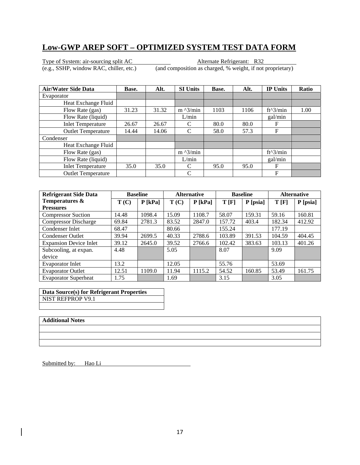Type of System: air-sourcing split AC Alternate Refrigerant: R32

(e.g., SSHP, window RAC, chiller, etc.) (and composition as charged, % weight, if not proprietary)

| <b>Air/Water Side Data</b> | Base. | Alt.  | <b>SI Units</b>   | Base. | Alt. | <b>IP Units</b> | <b>Ratio</b> |
|----------------------------|-------|-------|-------------------|-------|------|-----------------|--------------|
| Evaporator                 |       |       |                   |       |      |                 |              |
| Heat Exchange Fluid        |       |       |                   |       |      |                 |              |
| Flow Rate (gas)            | 31.23 | 31.32 | $m \lambda$ 3/min | 1103  | 1106 | $ft^3/min$      | 1.00         |
| Flow Rate (liquid)         |       |       | L/min             |       |      | gal/min         |              |
| <b>Inlet Temperature</b>   | 26.67 | 26.67 | C                 | 80.0  | 80.0 | F               |              |
| <b>Outlet Temperature</b>  | 14.44 | 14.06 | C                 | 58.0  | 57.3 | F               |              |
| Condenser                  |       |       |                   |       |      |                 |              |
| Heat Exchange Fluid        |       |       |                   |       |      |                 |              |
| Flow Rate (gas)            |       |       | $m \lambda$ 3/min |       |      | ft^3/min        |              |
| Flow Rate (liquid)         |       |       | L/min             |       |      | gal/min         |              |
| <b>Inlet Temperature</b>   | 35.0  | 35.0  | C                 | 95.0  | 95.0 | F               |              |
| <b>Outlet Temperature</b>  |       |       | C                 |       |      | F               |              |

| <b>Refrigerant Side Data</b>  |       | <b>Baseline</b> |       | <b>Alternative</b> | <b>Baseline</b> |          | <b>Alternative</b> |            |
|-------------------------------|-------|-----------------|-------|--------------------|-----------------|----------|--------------------|------------|
| Temperatures &                | T(C)  | $P$ [kPa]       | T(C)  | $P$ [kPa]          | T[F]            | P [psia] | T[F]               | $P$ [psia] |
| <b>Pressures</b>              |       |                 |       |                    |                 |          |                    |            |
| <b>Compressor Suction</b>     | 14.48 | 1098.4          | 15.09 | 1108.7             | 58.07           | 159.31   | 59.16              | 160.81     |
| <b>Compressor Discharge</b>   | 69.84 | 2781.3          | 83.52 | 2847.0             | 157.72          | 403.4    | 182.34             | 412.92     |
| Condenser Inlet               | 68.47 |                 | 80.66 |                    | 155.24          |          | 177.19             |            |
| <b>Condenser Outlet</b>       | 39.94 | 2699.5          | 40.33 | 2788.6             | 103.89          | 391.53   | 104.59             | 404.45     |
| <b>Expansion Device Inlet</b> | 39.12 | 2645.0          | 39.52 | 2766.6             | 102.42          | 383.63   | 103.13             | 401.26     |
| Subcooling, at expan.         | 4.48  |                 | 5.05  |                    | 8.07            |          | 9.09               |            |
| device                        |       |                 |       |                    |                 |          |                    |            |
| Evaporator Inlet              | 13.2  |                 | 12.05 |                    | 55.76           |          | 53.69              |            |
| <b>Evaporator Outlet</b>      | 12.51 | 1109.0          | 11.94 | 1115.2             | 54.52           | 160.85   | 53.49              | 161.75     |
| <b>Evaporator Superheat</b>   | 1.75  |                 | 1.69  |                    | 3.15            |          | 3.05               |            |

**Data Source(s) for Refrigerant Properties**  NIST REFPROP V9.1

#### **Additional Notes**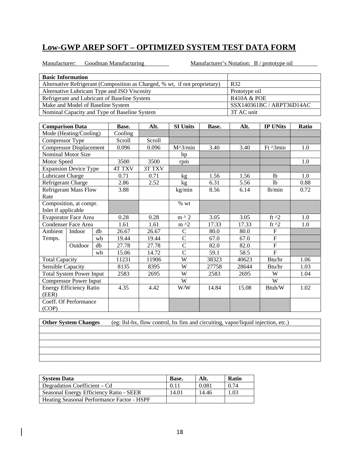Manufacturer: Goodman Manufacturing Manufacturer's Notation: B / prototype oil

| <b>Basic Information</b>                                                                                                   |                                              |    |               |                        |                 |                                        |       |                           |       |  |
|----------------------------------------------------------------------------------------------------------------------------|----------------------------------------------|----|---------------|------------------------|-----------------|----------------------------------------|-------|---------------------------|-------|--|
| Alternative Refrigerant (Composition as Charged, % wt, if not proprietary)<br>Alternative Lubricant Type and ISO Viscosity |                                              |    |               |                        |                 |                                        |       |                           |       |  |
|                                                                                                                            |                                              |    |               | Prototype oil          |                 |                                        |       |                           |       |  |
|                                                                                                                            | Refrigerant and Lubricant of Baseline System |    |               | <b>R410A &amp; POE</b> |                 |                                        |       |                           |       |  |
|                                                                                                                            | Make and Model of Baseline System            |    |               |                        |                 |                                        |       | SSX140361BC / ARPT36D14AC |       |  |
|                                                                                                                            | Nominal Capacity and Type of Baseline System |    |               |                        |                 |                                        |       |                           |       |  |
|                                                                                                                            |                                              |    |               |                        |                 |                                        |       |                           |       |  |
| <b>Comparison Data</b>                                                                                                     |                                              |    | Base.         | Alt.                   | <b>SI Units</b> | Base.                                  | Alt.  | <b>IP UNits</b>           | Ratio |  |
|                                                                                                                            | Mode (Heating/Cooling)                       |    | Cooling       |                        |                 |                                        |       |                           |       |  |
| Compressor Type                                                                                                            |                                              |    | Scroll        | Scroll                 |                 |                                        |       |                           |       |  |
|                                                                                                                            | <b>Compressor Displacement</b>               |    | 0.096         | 0.096                  | $M^3/min$       | 3.40                                   | 3.40  | Ft ^3min                  | 1.0   |  |
|                                                                                                                            | Nominal Motor Size                           |    |               |                        | hp              |                                        |       |                           |       |  |
| Motor Speed                                                                                                                |                                              |    | 3500          | 3500                   | rpm             |                                        |       |                           | 1.0   |  |
|                                                                                                                            | <b>Expansion Device Type</b>                 |    | <b>4T TXV</b> | 3T TXV                 |                 |                                        |       |                           |       |  |
| Lubricant Charge                                                                                                           |                                              |    | 0.71          | 0.71                   | kg              | 1.56                                   | 1.56  | 1 <sub>b</sub>            | 1.0   |  |
| Refrigerant Charge                                                                                                         |                                              |    | 2.86          | 2.52                   | kg              | 5.56<br>1 <sub>b</sub><br>6.31<br>0.88 |       |                           |       |  |
|                                                                                                                            | <b>Refrigerant Mass Flow</b>                 |    | 3.88          |                        | kg/min          | 8.56                                   | 6.14  | lb/min                    | 0.72  |  |
| Rate                                                                                                                       |                                              |    |               |                        |                 |                                        |       |                           |       |  |
|                                                                                                                            | Composition, at compr.                       |    |               |                        | $\%$ wt         |                                        |       |                           |       |  |
| Inlet if applicable                                                                                                        |                                              |    |               |                        |                 |                                        |       |                           |       |  |
|                                                                                                                            | <b>Evaporator Face Area</b>                  |    | 0.28          | 0.28                   | $m \wedge 2$    | 3.05                                   | 3.05  | ft $^2$                   | 1.0   |  |
|                                                                                                                            | <b>Condenser Face Area</b>                   |    | 1.61          | 1.61                   | $m \lambda$     | 17.33                                  | 17.33 | ft $^{\wedge}2$           | 1.0   |  |
| Ambient                                                                                                                    | Indoor                                       | db | 26.67         | 26.67                  | $\mathbf C$     | 80.0                                   | 80.0  | $\boldsymbol{\mathrm{F}}$ |       |  |
| Temps.                                                                                                                     |                                              | wb | 19.44         | 19.44                  | $\overline{C}$  | 67.0                                   | 67.0  | $\overline{F}$            |       |  |
|                                                                                                                            | Outdoor                                      | db | 27.78         | 27.78                  | $\overline{C}$  | 82.0                                   | 82.0  | $\overline{F}$            |       |  |
|                                                                                                                            |                                              | wb | 15.06         | 14.72                  | $\mathcal{C}$   | 59.1                                   | 58.5  | $\overline{F}$            |       |  |
| <b>Total Capacity</b>                                                                                                      |                                              |    | 11231         | 11906                  | W               | 38323                                  | 40623 | Btu/hr                    | 1.06  |  |
| <b>Sensible Capacity</b>                                                                                                   |                                              |    | 8135          | 8395                   | W               | 27758                                  | 28644 | Btu/hr                    | 1.03  |  |
|                                                                                                                            | <b>Total System Power Input</b>              |    | 2583          | 2695                   | W               | 2583<br>2695<br>W<br>1.04              |       |                           |       |  |
|                                                                                                                            | <b>Compressor Power Input</b>                |    |               |                        | W               |                                        |       | W                         |       |  |
|                                                                                                                            | <b>Energy Efficiency Ratio</b>               |    | 4.35          | 4.42                   | W/W             | 14.84                                  | 15.08 | Btuh/W                    | 1.02  |  |
| (EER)                                                                                                                      |                                              |    |               |                        |                 |                                        |       |                           |       |  |
|                                                                                                                            | Coeff. Of Performance                        |    |               |                        |                 |                                        |       |                           |       |  |
| (COP)                                                                                                                      |                                              |    |               |                        |                 |                                        |       |                           |       |  |

| <b>System Data</b>                         | <b>Base.</b> | Alt.  | <b>Ratio</b> |
|--------------------------------------------|--------------|-------|--------------|
| Degradation Coefficient – Cd               | 0.11         | 0.081 | 0.74         |
| Seasonal Energy Efficiency Ratio - SEER    | 14.01        | 14.46 | 1.03         |
| Heating Seasonal Performance Factor - HSPF |              |       |              |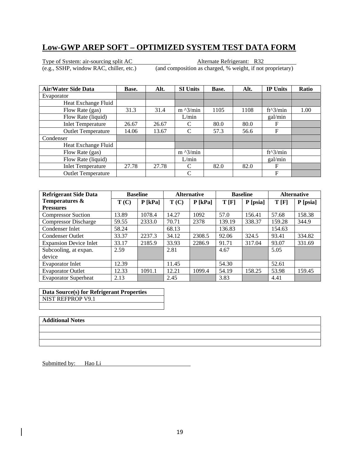Type of System: air-sourcing split AC Alternate Refrigerant: R32

(e.g., SSHP, window RAC, chiller, etc.) (and composition as charged, % weight, if not proprietary)

| <b>Air/Water Side Data</b> | Base. | Alt.  | <b>SI Units</b>   | Base. | Alt. | <b>IP Units</b> | <b>Ratio</b> |
|----------------------------|-------|-------|-------------------|-------|------|-----------------|--------------|
| Evaporator                 |       |       |                   |       |      |                 |              |
| Heat Exchange Fluid        |       |       |                   |       |      |                 |              |
| Flow Rate (gas)            | 31.3  | 31.4  | $m \lambda$ 3/min | 1105  | 1108 | $ft^3/min$      | 1.00         |
| Flow Rate (liquid)         |       |       | L/min             |       |      | gal/min         |              |
| <b>Inlet Temperature</b>   | 26.67 | 26.67 | C                 | 80.0  | 80.0 | F               |              |
| <b>Outlet Temperature</b>  | 14.06 | 13.67 | C                 | 57.3  | 56.6 | F               |              |
| Condenser                  |       |       |                   |       |      |                 |              |
| Heat Exchange Fluid        |       |       |                   |       |      |                 |              |
| Flow Rate (gas)            |       |       | $m \lambda$ 3/min |       |      | $ft^3/min$      |              |
| Flow Rate (liquid)         |       |       | L/min             |       |      | gal/min         |              |
| <b>Inlet Temperature</b>   | 27.78 | 27.78 | C                 | 82.0  | 82.0 | F               |              |
| <b>Outlet Temperature</b>  |       |       | C                 |       |      | F               |              |

| <b>Refrigerant Side Data</b>  |       | <b>Baseline</b> |       | <b>Alternative</b> |        | <b>Baseline</b> | <b>Alternative</b> |            |
|-------------------------------|-------|-----------------|-------|--------------------|--------|-----------------|--------------------|------------|
| Temperatures &                | T(C)  | $P$ [kPa]       | T(C)  | $P$ [kPa]          | T[F]   | P [psia]        | T[F]               | $P$ [psia] |
| <b>Pressures</b>              |       |                 |       |                    |        |                 |                    |            |
| <b>Compressor Suction</b>     | 13.89 | 1078.4          | 14.27 | 1092               | 57.0   | 156.41          | 57.68              | 158.38     |
| <b>Compressor Discharge</b>   | 59.55 | 2333.0          | 70.71 | 2378               | 139.19 | 338.37          | 159.28             | 344.9      |
| Condenser Inlet               | 58.24 |                 | 68.13 |                    | 136.83 |                 | 154.63             |            |
| <b>Condenser Outlet</b>       | 33.37 | 2237.3          | 34.12 | 2308.5             | 92.06  | 324.5           | 93.41              | 334.82     |
| <b>Expansion Device Inlet</b> | 33.17 | 2185.9          | 33.93 | 2286.9             | 91.71  | 317.04          | 93.07              | 331.69     |
| Subcooling, at expan.         | 2.59  |                 | 2.81  |                    | 4.67   |                 | 5.05               |            |
| device                        |       |                 |       |                    |        |                 |                    |            |
| Evaporator Inlet              | 12.39 |                 | 11.45 |                    | 54.30  |                 | 52.61              |            |
| <b>Evaporator Outlet</b>      | 12.33 | 1091.1          | 12.21 | 1099.4             | 54.19  | 158.25          | 53.98              | 159.45     |
| <b>Evaporator Superheat</b>   | 2.13  |                 | 2.45  |                    | 3.83   |                 | 4.41               |            |

**Data Source(s) for Refrigerant Properties**  NIST REFPROP V9.1

#### **Additional Notes**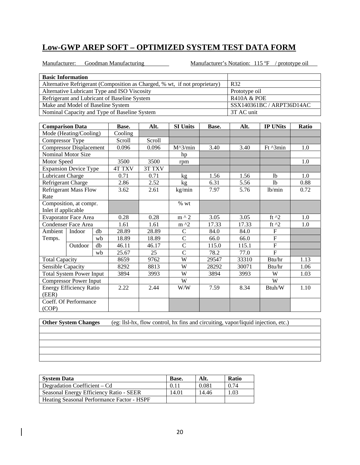Manufacturer: Goodman Manufacturing

Manufacturer's Notation:  $115 \text{ }^{\circ}\text{F}$  / prototype oil

| <b>Basic Information</b>                                                                                                   |                                              |    |                                              |        |                 |       |                                |                           |       |  |
|----------------------------------------------------------------------------------------------------------------------------|----------------------------------------------|----|----------------------------------------------|--------|-----------------|-------|--------------------------------|---------------------------|-------|--|
| Alternative Refrigerant (Composition as Charged, % wt, if not proprietary)<br>Alternative Lubricant Type and ISO Viscosity |                                              |    |                                              |        |                 |       | R32                            |                           |       |  |
|                                                                                                                            |                                              |    | Prototype oil                                |        |                 |       |                                |                           |       |  |
|                                                                                                                            | Refrigerant and Lubricant of Baseline System |    | <b>R410A &amp; POE</b>                       |        |                 |       |                                |                           |       |  |
|                                                                                                                            | Make and Model of Baseline System            |    |                                              |        |                 |       |                                | SSX140361BC / ARPT36D14AC |       |  |
|                                                                                                                            |                                              |    | Nominal Capacity and Type of Baseline System |        |                 |       | 3T AC unit                     |                           |       |  |
|                                                                                                                            |                                              |    |                                              |        |                 |       |                                |                           |       |  |
| <b>Comparison Data</b>                                                                                                     |                                              |    | Base.                                        | Alt.   | <b>SI Units</b> | Base. | Alt.                           | <b>IP UNits</b>           | Ratio |  |
|                                                                                                                            | Mode (Heating/Cooling)                       |    | Cooling                                      |        |                 |       |                                |                           |       |  |
| Compressor Type                                                                                                            |                                              |    | Scroll                                       | Scroll |                 |       |                                |                           |       |  |
|                                                                                                                            | <b>Compressor Displacement</b>               |    | 0.096                                        | 0.096  | $M^3/min$       | 3.40  | 3.40                           | Ft ^3min                  | 1.0   |  |
|                                                                                                                            | <b>Nominal Motor Size</b>                    |    |                                              |        | hp              |       |                                |                           |       |  |
| Motor Speed                                                                                                                |                                              |    | 3500                                         | 3500   | rpm             |       |                                |                           | 1.0   |  |
|                                                                                                                            | <b>Expansion Device Type</b>                 |    | <b>4T TXV</b>                                | 3T TXV |                 |       |                                |                           |       |  |
| Lubricant Charge                                                                                                           |                                              |    | 0.71                                         | 0.71   | kg              | 1.56  | 1.56<br>1.0<br><sup>1</sup>    |                           |       |  |
| Refrigerant Charge                                                                                                         |                                              |    | 2.86                                         | 2.52   | kg              | 6.31  | 5.56<br>1 <sub>b</sub><br>0.88 |                           |       |  |
| Refrigerant Mass Flow<br>3.62<br>7.97<br>2.61<br>kg/min<br>5.76<br>lb/min                                                  |                                              |    |                                              |        |                 | 0.72  |                                |                           |       |  |
| Rate                                                                                                                       |                                              |    |                                              |        |                 |       |                                |                           |       |  |
|                                                                                                                            | Composition, at compr.                       |    |                                              |        | % wt            |       |                                |                           |       |  |
| Inlet if applicable                                                                                                        |                                              |    |                                              |        |                 |       |                                |                           |       |  |
|                                                                                                                            | <b>Evaporator Face Area</b>                  |    | 0.28                                         | 0.28   | $m \wedge 2$    | 3.05  | 3.05                           | ft $^2$                   | 1.0   |  |
|                                                                                                                            | <b>Condenser Face Area</b>                   |    | 1.61                                         | 1.61   | $m \lambda$     | 17.33 | 17.33                          | ft $^2$                   | 1.0   |  |
| Ambient                                                                                                                    | Indoor                                       | db | 28.89                                        | 28.89  | $\overline{C}$  | 84.0  | 84.0                           | $\overline{F}$            |       |  |
| Temps.                                                                                                                     |                                              | wb | 18.89                                        | 18.89  | $\mathcal{C}$   | 66.0  | 66.0                           | $\overline{F}$            |       |  |
|                                                                                                                            | Outdoor                                      | db | 46.11                                        | 46.17  | $\mathsf{C}$    | 115.0 | 115.1                          | $\boldsymbol{\mathrm{F}}$ |       |  |
|                                                                                                                            |                                              | wb | 25.67                                        | 25     | $\overline{C}$  | 78.2  | 77.0                           | $\overline{F}$            |       |  |
| <b>Total Capacity</b>                                                                                                      |                                              |    | 8659                                         | 9762   | W               | 29547 | 33310                          | Btu/hr                    | 1.13  |  |
| <b>Sensible Capacity</b>                                                                                                   |                                              |    | 8292                                         | 8813   | W               | 28292 | 30071                          | Btu/hr                    | 1.06  |  |
|                                                                                                                            | <b>Total System Power Input</b>              |    | 3894                                         | 3993   | W               | 3894  | 3993                           | $\ensuremath{\text{W}}$   | 1.03  |  |
|                                                                                                                            | <b>Compressor Power Input</b>                |    |                                              |        | W               |       |                                | W                         |       |  |
|                                                                                                                            | <b>Energy Efficiency Ratio</b>               |    | 2.22                                         | 2.44   | W/W             | 7.59  | 8.34                           | Btuh/W                    | 1.10  |  |
| (EER)                                                                                                                      |                                              |    |                                              |        |                 |       |                                |                           |       |  |
|                                                                                                                            | Coeff. Of Performance                        |    |                                              |        |                 |       |                                |                           |       |  |
| (COP)                                                                                                                      |                                              |    |                                              |        |                 |       |                                |                           |       |  |

| <b>System Data</b>                         | Base. | Alt.  | <b>Ratio</b> |
|--------------------------------------------|-------|-------|--------------|
| Degradation Coefficient – Cd               | 0.11  | 0.081 | 0.74         |
| Seasonal Energy Efficiency Ratio - SEER    | 14.01 | 14.46 | .03          |
| Heating Seasonal Performance Factor - HSPF |       |       |              |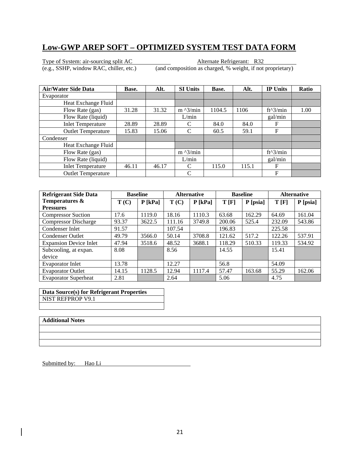Type of System: air-sourcing split AC Alternate Refrigerant: R32

(e.g., SSHP, window RAC, chiller, etc.) (and composition as charged, % weight, if not proprietary)

| <b>Air/Water Side Data</b> | Base. | Alt.  | <b>SI Units</b>   | Base.  | Alt.  | <b>IP Units</b> | <b>Ratio</b> |
|----------------------------|-------|-------|-------------------|--------|-------|-----------------|--------------|
| Evaporator                 |       |       |                   |        |       |                 |              |
| Heat Exchange Fluid        |       |       |                   |        |       |                 |              |
| Flow Rate (gas)            | 31.28 | 31.32 | $m \lambda$ 3/min | 1104.5 | 1106  | $ft^3/min$      | 1.00         |
| Flow Rate (liquid)         |       |       | L/min             |        |       | gal/min         |              |
| <b>Inlet Temperature</b>   | 28.89 | 28.89 | C                 | 84.0   | 84.0  | F               |              |
| <b>Outlet Temperature</b>  | 15.83 | 15.06 | C                 | 60.5   | 59.1  | F               |              |
| Condenser                  |       |       |                   |        |       |                 |              |
| Heat Exchange Fluid        |       |       |                   |        |       |                 |              |
| Flow Rate (gas)            |       |       | $m \lambda$ 3/min |        |       | $ft^3/min$      |              |
| Flow Rate (liquid)         |       |       | L/min             |        |       | gal/min         |              |
| <b>Inlet Temperature</b>   | 46.11 | 46.17 | C                 | 115.0  | 115.1 | F               |              |
| <b>Outlet Temperature</b>  |       |       | C                 |        |       | F               |              |

| <b>Refrigerant Side Data</b>  | <b>Baseline</b> |           | <b>Alternative</b> |           | <b>Baseline</b> |          | <b>Alternative</b> |            |
|-------------------------------|-----------------|-----------|--------------------|-----------|-----------------|----------|--------------------|------------|
| Temperatures &                | T(C)            | $P$ [kPa] | T(C)               | $P$ [kPa] | T[F]            | P [psia] | T[F]               | $P$ [psia] |
| <b>Pressures</b>              |                 |           |                    |           |                 |          |                    |            |
| <b>Compressor Suction</b>     | 17.6            | 1119.0    | 18.16              | 1110.3    | 63.68           | 162.29   | 64.69              | 161.04     |
| <b>Compressor Discharge</b>   | 93.37           | 3622.5    | 111.16             | 3749.8    | 200.06          | 525.4    | 232.09             | 543.86     |
| Condenser Inlet               | 91.57           |           | 107.54             |           | 196.83          |          | 225.58             |            |
| <b>Condenser Outlet</b>       | 49.79           | 3566.0    | 50.14              | 3708.8    | 121.62          | 517.2    | 122.26             | 537.91     |
| <b>Expansion Device Inlet</b> | 47.94           | 3518.6    | 48.52              | 3688.1    | 118.29          | 510.33   | 119.33             | 534.92     |
| Subcooling, at expan.         | 8.08            |           | 8.56               |           | 14.55           |          | 15.41              |            |
| device                        |                 |           |                    |           |                 |          |                    |            |
| <b>Evaporator Inlet</b>       | 13.78           |           | 12.27              |           | 56.8            |          | 54.09              |            |
| <b>Evaporator Outlet</b>      | 14.15           | 1128.5    | 12.94              | 1117.4    | 57.47           | 163.68   | 55.29              | 162.06     |
| <b>Evaporator Superheat</b>   | 2.81            |           | 2.64               |           | 5.06            |          | 4.75               |            |

**Data Source(s) for Refrigerant Properties**  NIST REFPROP V9.1

#### **Additional Notes**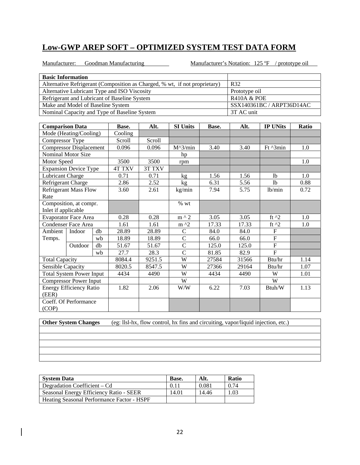Manufacturer: Goodman Manufacturing Manufacturer: 125 or

Manufacturer's Notation:  $125 \text{ }^\circ\text{F}$  / prototype oil

| <b>Basic Information</b>                                                   |                                 |    |                                              |        |                   |                        |                           |                           |       |
|----------------------------------------------------------------------------|---------------------------------|----|----------------------------------------------|--------|-------------------|------------------------|---------------------------|---------------------------|-------|
| Alternative Refrigerant (Composition as Charged, % wt, if not proprietary) |                                 |    |                                              |        | R32               |                        |                           |                           |       |
| Alternative Lubricant Type and ISO Viscosity                               |                                 |    |                                              |        |                   | Prototype oil          |                           |                           |       |
| Refrigerant and Lubricant of Baseline System                               |                                 |    |                                              |        |                   | <b>R410A &amp; POE</b> |                           |                           |       |
| Make and Model of Baseline System                                          |                                 |    |                                              |        |                   |                        | SSX140361BC / ARPT36D14AC |                           |       |
|                                                                            |                                 |    | Nominal Capacity and Type of Baseline System |        |                   |                        | 3T AC unit                |                           |       |
|                                                                            |                                 |    |                                              |        |                   |                        |                           |                           |       |
| <b>Comparison Data</b>                                                     |                                 |    | Base.                                        | Alt.   | <b>SI Units</b>   | Base.                  | Alt.                      | <b>IP UNits</b>           | Ratio |
|                                                                            | Mode (Heating/Cooling)          |    | Cooling                                      |        |                   |                        |                           |                           |       |
| Compressor Type                                                            |                                 |    | Scroll                                       | Scroll |                   |                        |                           |                           |       |
|                                                                            | <b>Compressor Displacement</b>  |    | 0.096                                        | 0.096  | $M^{\wedge}3/min$ | 3.40                   | 3.40                      | Ft ^3min                  | 1.0   |
|                                                                            | <b>Nominal Motor Size</b>       |    |                                              |        | hp                |                        |                           |                           |       |
| Motor Speed                                                                |                                 |    | 3500                                         | 3500   | rpm               |                        |                           |                           | 1.0   |
|                                                                            | <b>Expansion Device Type</b>    |    | <b>4T TXV</b>                                | 3T TXV |                   |                        |                           |                           |       |
| Lubricant Charge                                                           |                                 |    | 0.71                                         | 0.71   | kg                | 1.56                   | 1.56                      | 1 <sub>b</sub>            | 1.0   |
| Refrigerant Charge                                                         |                                 |    | 2.86                                         | 2.52   | kg                | 6.31                   | 5.56                      | 1 <sub>b</sub>            | 0.88  |
| <b>Refrigerant Mass Flow</b>                                               |                                 |    | 3.60                                         | 2.61   | kg/min            | 7.94                   | 5.75                      | lb/min                    | 0.72  |
| Rate                                                                       |                                 |    |                                              |        |                   |                        |                           |                           |       |
| Composition, at compr.                                                     |                                 |    |                                              |        | % wt              |                        |                           |                           |       |
| Inlet if applicable                                                        |                                 |    |                                              |        |                   |                        |                           |                           |       |
|                                                                            | <b>Evaporator Face Area</b>     |    | 0.28                                         | 0.28   | $m \wedge 2$      | 3.05                   | 3.05                      | ft $^2$                   | 1.0   |
|                                                                            | <b>Condenser Face Area</b>      |    | 1.61                                         | 1.61   | $m^2$             | 17.33                  | 17.33                     | ft $^{\wedge}2$           | 1.0   |
| Ambient                                                                    | Indoor                          | db | 28.89                                        | 28.89  | $\mathbf C$       | 84.0                   | 84.0                      | $\boldsymbol{\mathrm{F}}$ |       |
| Temps.                                                                     |                                 | wb | 18.89                                        | 18.89  | $\mathcal{C}$     | 66.0                   | 66.0                      | $\boldsymbol{\mathrm{F}}$ |       |
|                                                                            | Outdoor                         | db | 51.67                                        | 51.67  | $\mathcal{C}$     | 125.0                  | 125.0                     | $\overline{F}$            |       |
|                                                                            |                                 | wb | 27.7                                         | 28.3   | $\overline{C}$    | 81.85                  | 82.9                      | $\overline{F}$            |       |
| <b>Total Capacity</b>                                                      |                                 |    | 8084.4                                       | 9251.5 | W                 | 27584                  | 31566                     | Btu/hr                    | 1.14  |
| Sensible Capacity                                                          |                                 |    | 8020.5                                       | 8547.5 | W                 | 27366                  | 29164                     | Btu/hr                    | 1.07  |
|                                                                            | <b>Total System Power Input</b> |    | 4434                                         | 4490   | W                 | 4434                   | 4490                      | W                         | 1.01  |
|                                                                            | <b>Compressor Power Input</b>   |    |                                              |        | W                 |                        |                           | W                         |       |
| (EER)                                                                      | <b>Energy Efficiency Ratio</b>  |    | 1.82                                         | 2.06   | W/W               | 6.22                   | 7.03                      | Btuh/W                    | 1.13  |
| (COP)                                                                      | Coeff. Of Performance           |    |                                              |        |                   |                        |                           |                           |       |

| <b>System Data</b>                         | Base. | Alt.  | <b>Ratio</b> |
|--------------------------------------------|-------|-------|--------------|
| Degradation Coefficient – Cd               | 0.11  | 0.081 | 0.74         |
| Seasonal Energy Efficiency Ratio - SEER    | 14.01 | 14.46 | .03          |
| Heating Seasonal Performance Factor - HSPF |       |       |              |